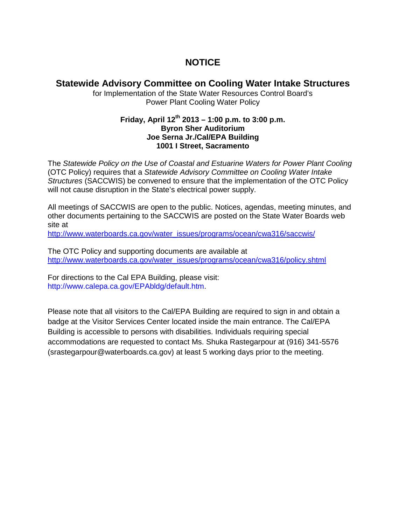## **NOTICE**

### **Statewide Advisory Committee on Cooling Water Intake Structures**

for Implementation of the State Water Resources Control Board's Power Plant Cooling Water Policy

#### **Friday, April 12th 2013 – 1:00 p.m. to 3:00 p.m. Byron Sher Auditorium Joe Serna Jr./Cal/EPA Building 1001 I Street, Sacramento**

The *Statewide Policy on the Use of Coastal and Estuarine Waters for Power Plant Cooling*  (OTC Policy) requires that a *Statewide Advisory Committee on Cooling Water Intake Structures* (SACCWIS) be convened to ensure that the implementation of the OTC Policy will not cause disruption in the State's electrical power supply.

All meetings of SACCWIS are open to the public. Notices, agendas, meeting minutes, and other documents pertaining to the SACCWIS are posted on the State Water Boards web site at

[http://www.waterboards.ca.gov/water\\_issues/programs/ocean/cwa316/saccwis/](http://www.waterboards.ca.gov/water_issues/programs/ocean/cwa316/saccwis/)

The OTC Policy and supporting documents are available at [http://www.waterboards.ca.gov/water\\_issues/programs/ocean/cwa316/policy.shtml](http://www.waterboards.ca.gov/water_issues/programs/ocean/cwa316/policy.shtml)

For directions to the Cal EPA Building, please visit: http://www.calepa.ca.gov/EPAbldg/default.htm.

Please note that all visitors to the Cal/EPA Building are required to sign in and obtain a badge at the Visitor Services Center located inside the main entrance. The Cal/EPA Building is accessible to persons with disabilities. Individuals requiring special accommodations are requested to contact Ms. Shuka Rastegarpour at (916) 341-5576 (srastegarpour@waterboards.ca.gov) at least 5 working days prior to the meeting.